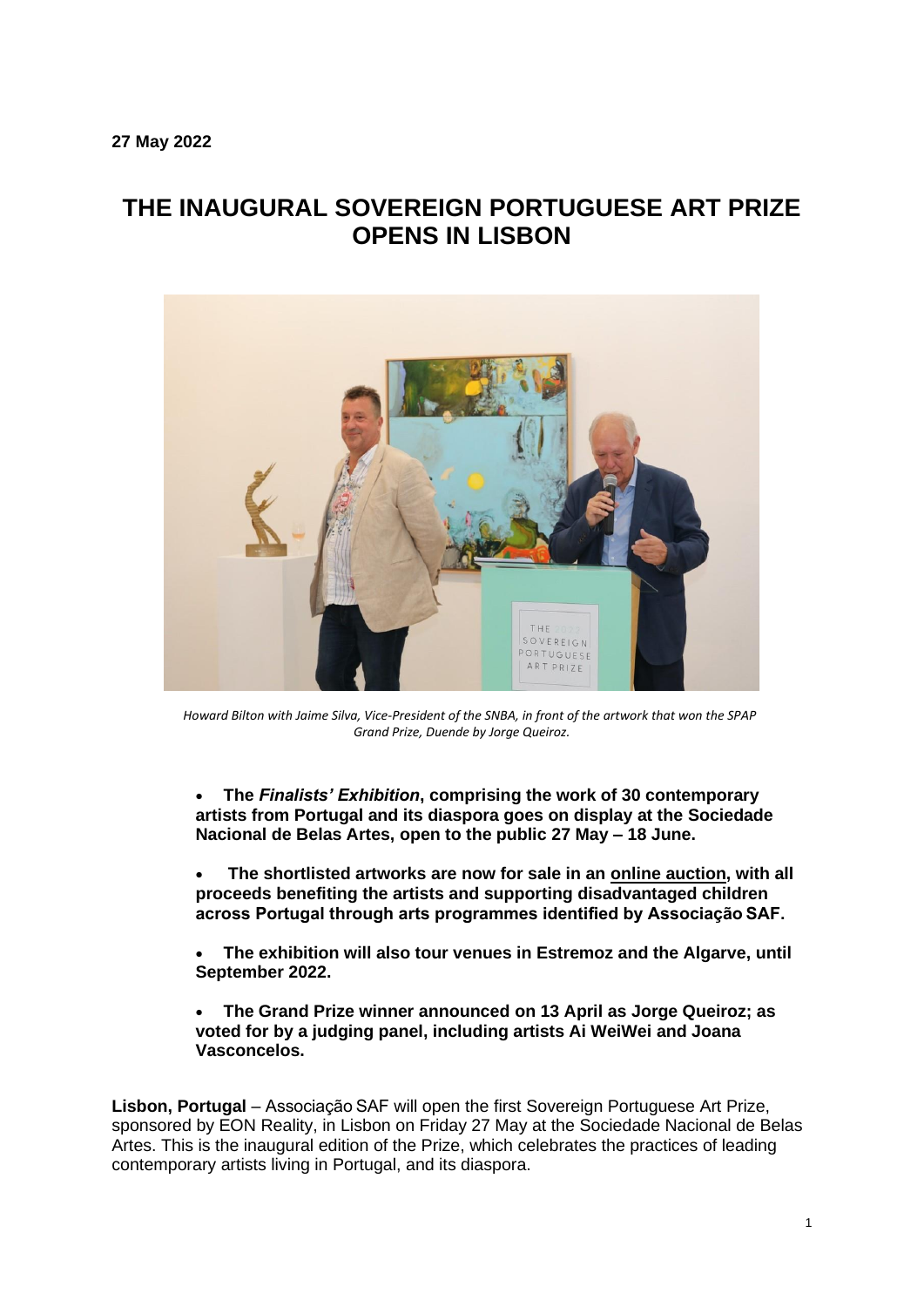# **THE INAUGURAL SOVEREIGN PORTUGUESE ART PRIZE OPENS IN LISBON**



 *Howard Bilton with Jaime Silva, Vice-President of the SNBA, in front of the artwork that won the SPAP Grand Prize, Duende by Jorge Queiroz.*

• **The** *Finalists' Exhibition***, comprising the work of 30 contemporary artists from Portugal and its diaspora goes on display at the Sociedade Nacional de Belas Artes, open to the public 27 May – 18 June.**

• **The shortlisted artworks are now for sale in an [online](https://www.sovereignartfoundation.com/art-prizes/the-sovereign-portuguese-art-prize/2022-edition/) auction, with all proceeds benefiting the artists and supporting disadvantaged children across Portugal through arts programmes identified by Associação SAF.**

• **The exhibition will also tour venues in Estremoz and the Algarve, until September 2022.**

• **The Grand Prize winner announced on 13 April as Jorge Queiroz; as voted for by a judging panel, including artists Ai WeiWei and Joana Vasconcelos.**

**Lisbon, Portugal** – Associação SAF will open the first Sovereign Portuguese Art Prize, sponsored by EON Reality, in Lisbon on Friday 27 May at the Sociedade Nacional de Belas Artes. This is the inaugural edition of the Prize, which celebrates the practices of leading contemporary artists living in Portugal, and its diaspora.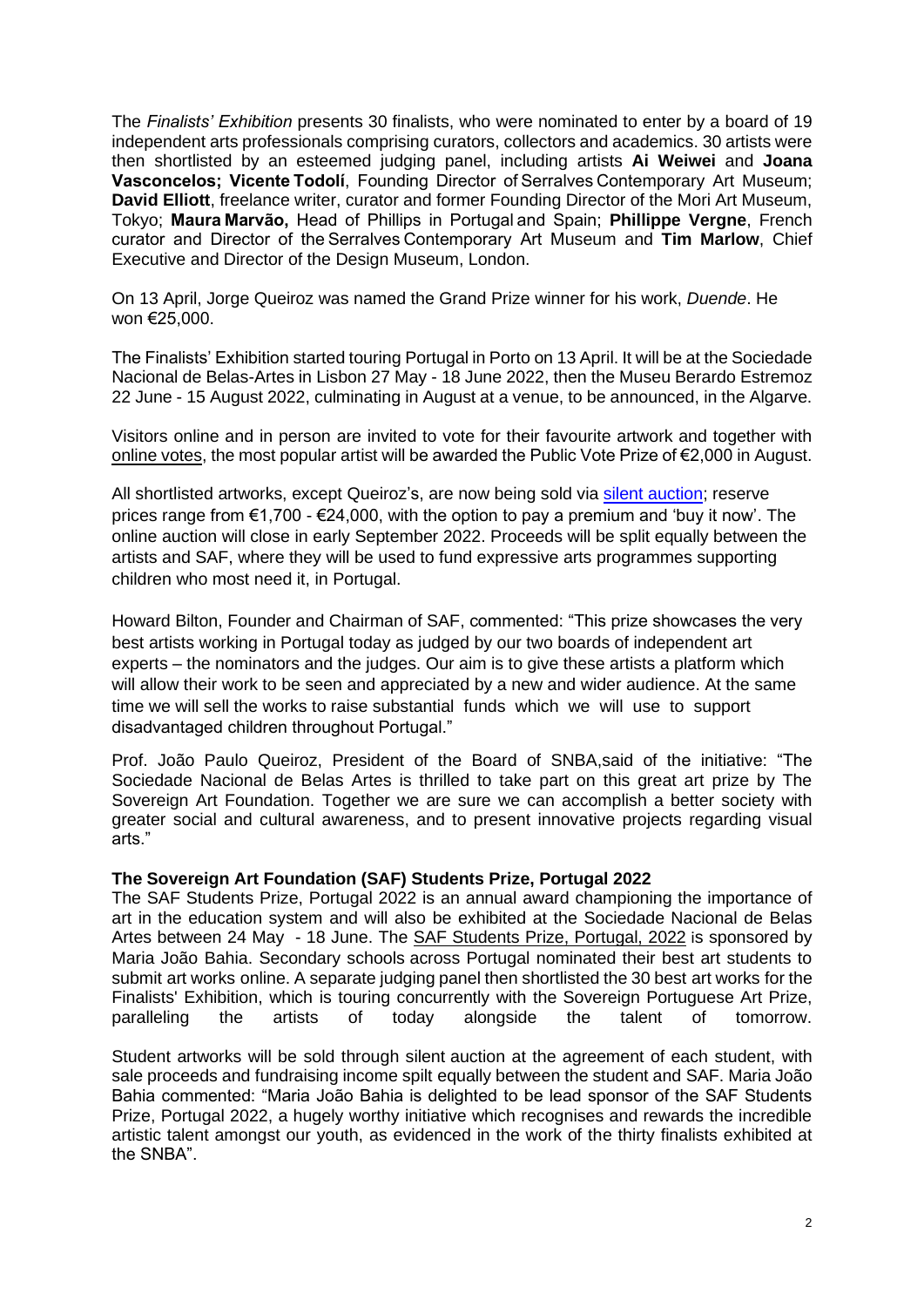The *Finalists' Exhibition* presents 30 finalists, who were nominated to enter by a board of 19 independent arts professionals comprising curators, collectors and academics. 30 artists were then shortlisted by an esteemed judging panel, including artists **Ai Weiwei** and **Joana Vasconcelos; Vicente Todolí**, Founding Director of Serralves Contemporary Art Museum; **David Elliott**, freelance writer, curator and former Founding Director of the Mori Art Museum, Tokyo; **Maura Marvão,** Head of Phillips in Portugal and Spain; **Phillippe Vergne**, French curator and Director of the Serralves Contemporary Art Museum and **Tim Marlow**, Chief Executive and Director of the Design Museum, London.

On 13 April, Jorge Queiroz was named the Grand Prize winner for his work, *Duende*. He won €25,000.

The Finalists' Exhibition started touring Portugal in Porto on 13 April. It will be at the Sociedade Nacional de Belas-Artes in Lisbon 27 May - 18 June 2022, then the Museu Berardo Estremoz 22 June - 15 August 2022, culminating in August at a venue, to be announced, in the Algarve.

Visitors online and in person are invited to vote for their favourite artwork and together with [online votes,](https://www.sovereignartfoundation.com/art-prizes/the-sovereign-portuguese-art-prize/2022-edition/) the most popular artist will be awarded the Public Vote Prize of  $\epsilon$ 2,000 in August.

All shortlisted artworks, except Queiroz's, are now being sold via [silent auction;](https://www.sovereignartfoundation.com/art-prizes/the-sovereign-portuguese-art-prize/2022-edition/) reserve prices range from €1,700 - €24,000, with the option to pay a premium and 'buy it now'. The online auction will close in early September 2022. Proceeds will be split equally between the artists and SAF, where they will be used to fund expressive arts programmes supporting children who most need it, in Portugal.

Howard Bilton, Founder and Chairman of SAF, commented: "This prize showcases the very best artists working in Portugal today as judged by our two boards of independent art experts – the nominators and the judges. Our aim is to give these artists a platform which will allow their work to be seen and appreciated by a new and wider audience. At the same time we will sell the works to raise substantial funds which we will use to support disadvantaged children throughout Portugal."

Prof. João Paulo Queiroz, President of the Board of SNBA,said of the initiative: "The Sociedade Nacional de Belas Artes is thrilled to take part on this great art prize by The Sovereign Art Foundation. Together we are sure we can accomplish a better society with greater social and cultural awareness, and to present innovative projects regarding visual arts."

#### **The Sovereign Art Foundation (SAF) Students Prize, Portugal 2022**

The SAF Students Prize, Portugal 2022 is an annual award championing the importance of art in the education system and will also be exhibited at the Sociedade Nacional de Belas Artes between 24 May - 18 June. The **[SAF Students Prize, Portugal, 2022](https://www.sovereignartfoundation.com/art-prizes/student-art-prize/portugal/)** is sponsored by Maria João Bahia. Secondary schools across Portugal nominated their best art students to submit art works online. A separate judging panel then shortlisted the 30 best art works for the Finalists' Exhibition, which is touring concurrently with the Sovereign Portuguese Art Prize, paralleling the artists of today alongside the talent of tomorrow.

Student artworks will be sold through silent auction at the agreement of each student, with sale proceeds and fundraising income spilt equally between the student and SAF. Maria João Bahia commented: "Maria João Bahia is delighted to be lead sponsor of the SAF Students Prize, Portugal 2022, a hugely worthy initiative which recognises and rewards the incredible artistic talent amongst our youth, as evidenced in the work of the thirty finalists exhibited at the SNBA".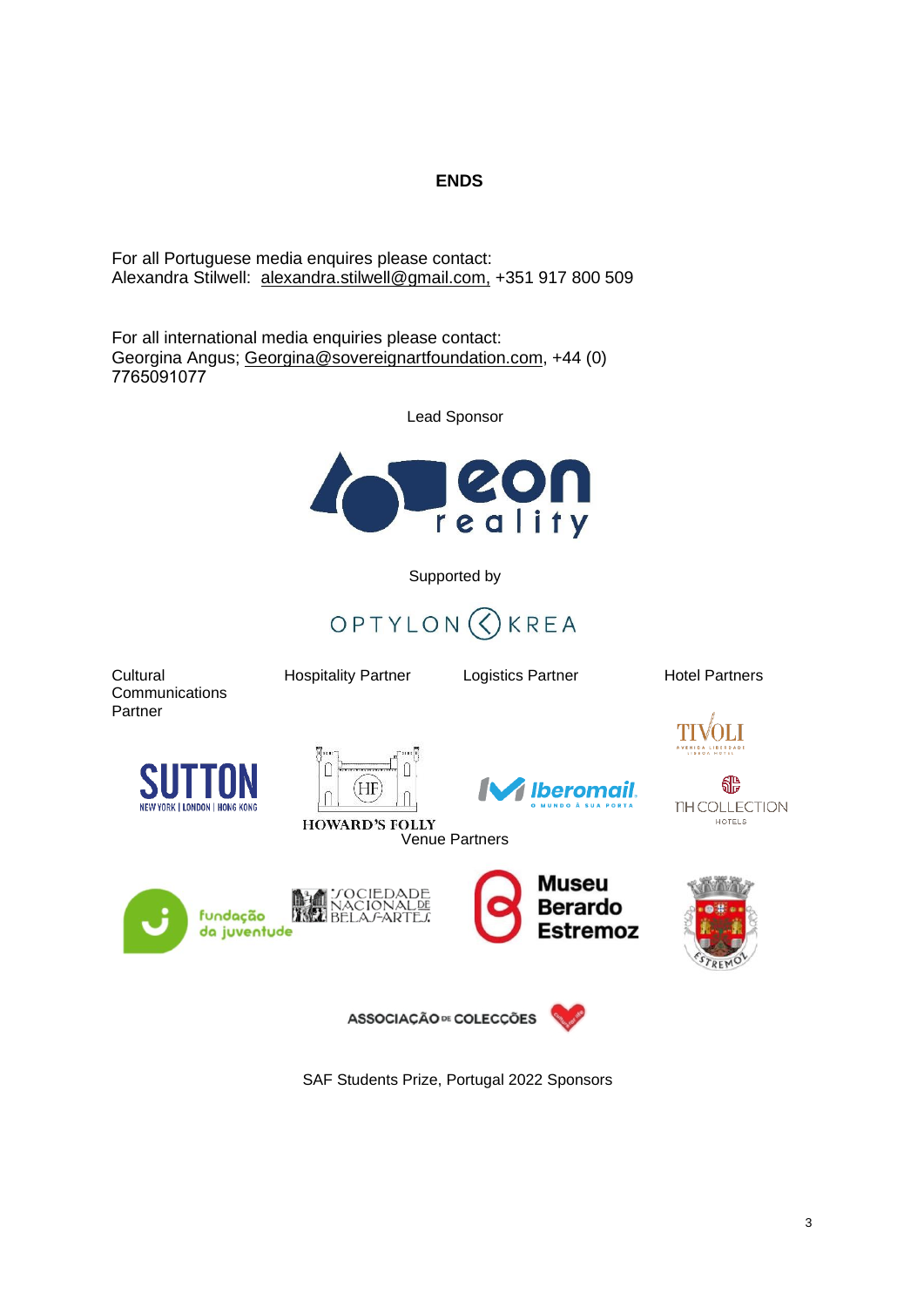# **ENDS**

For all Portuguese media enquires please contact: Alexandra Stilwell: [alexandra.stilwell@gmail.com,](mailto:alexandra.stilwell@gmail.com) +351 917 800 509

For all international media enquiries please contact: Georgina Angus; [Georgina@sovereignartfoundation.com,](mailto:Georgina@sovereignartfoundation.com) +44 (0) 7765091077   

Lead Sponsor



Supported by



**Cultural Communications** Partner

Hospitality Partner Logistics Partner Hotel Partners





**HOWARD'S FOLLY** 





TH COLLECTION HOTELS









ASSOCIAÇÃO <sup>DE</sup> COLECÇÕES



SAF Students Prize, Portugal 2022 Sponsors

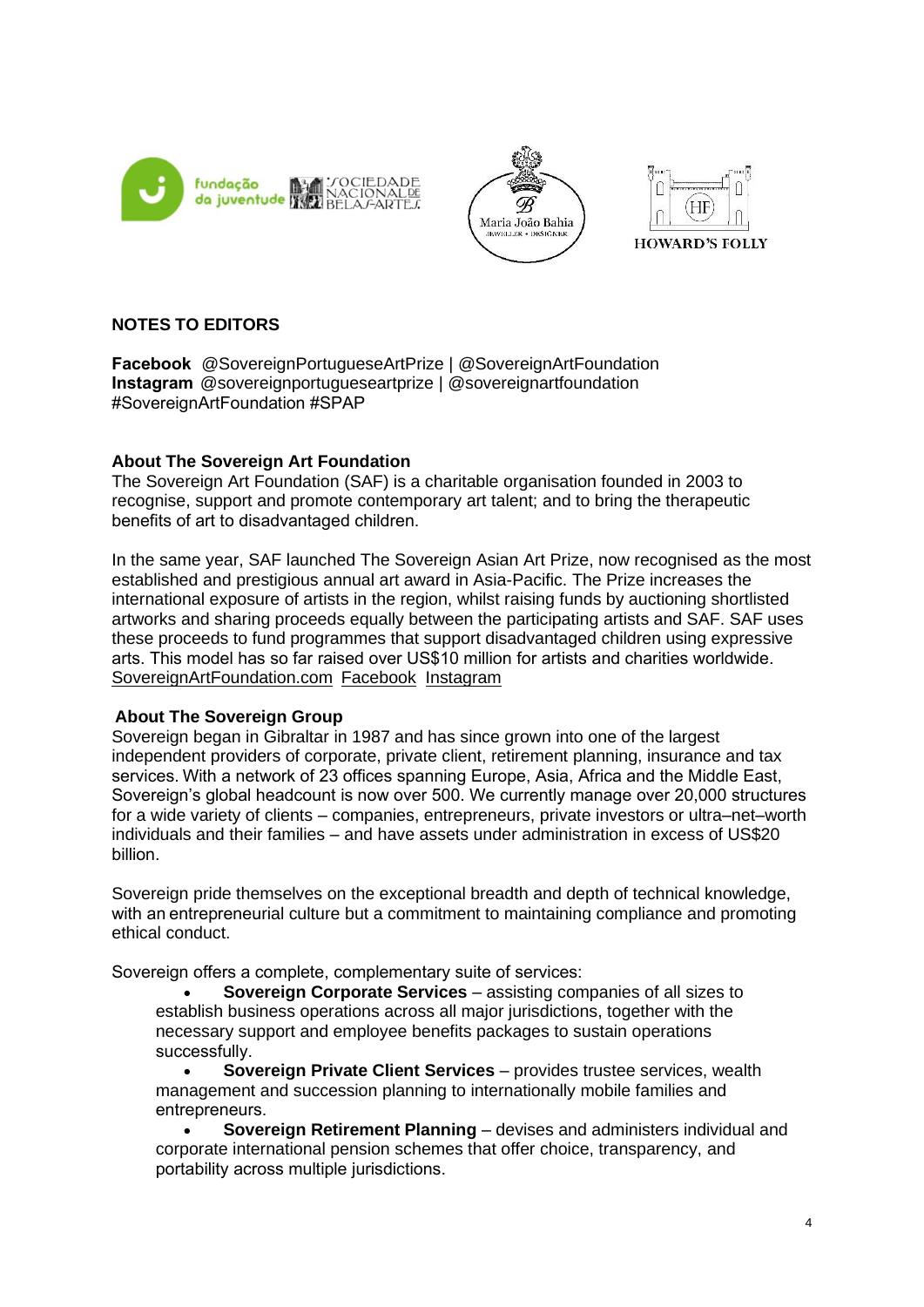





# **NOTES TO EDITORS**

**Facebook**@SovereignPortugueseArtPrize | @SovereignArtFoundation          **Instagram**@sovereignportugueseartprize | @sovereignartfoundation #SovereignArtFoundation #SPAP 

## **About The Sovereign Art Foundation**

The Sovereign Art Foundation (SAF) is a charitable organisation founded in 2003 to recognise, support and promote contemporary art talent; and to bring the therapeutic benefits of art to disadvantaged children. 

In the same year, SAF launched The Sovereign Asian Art Prize, now recognised as the most established and prestigious annual art award in Asia-Pacific. The Prize increases the international exposure of artists in the region, whilst raising funds by auctioning shortlisted artworks and sharing proceeds equally between the participating artists and SAF. SAF uses these proceeds to fund programmes that support disadvantaged children using expressive arts. This model has so far raised over US\$10 million for artists and charities worldwide.   [SovereignArtFoundation.com](http://www.sovereignartfoundation.com/) [Facebook](https://www.facebook.com/SovereignArtFoundation) [Instagram](https://www.instagram.com/sovereignartfoundation/?hl=en)

## **About The Sovereign Group**

Sovereign began in Gibraltar in 1987 and has since grown into one of the largest independent providers of corporate, private client, retirement planning, insurance and tax services. With a network of 23 offices spanning Europe, Asia, Africa and the Middle East, Sovereign's global headcount is now over 500. We currently manage over 20,000 structures for a wide variety of clients – companies, entrepreneurs, private investors or ultra–net–worth individuals and their families – and have assets under administration in excess of US\$20 billion. 

Sovereign pride themselves on the exceptional breadth and depth of technical knowledge, with an entrepreneurial culture but a commitment to maintaining compliance and promoting ethical conduct.

Sovereign offers a complete, complementary suite of services: 

• **Sovereign Corporate Services** – assisting companies of all sizes to establish business operations across all major jurisdictions, together with the necessary support and employee benefits packages to sustain operations successfully.  

• **Sovereign Private Client Services** – provides trustee services, wealth management and succession planning to internationally mobile families and entrepreneurs.  

• **Sovereign Retirement Planning** – devises and administers individual and corporate international pension schemes that offer choice, transparency, and portability across multiple jurisdictions.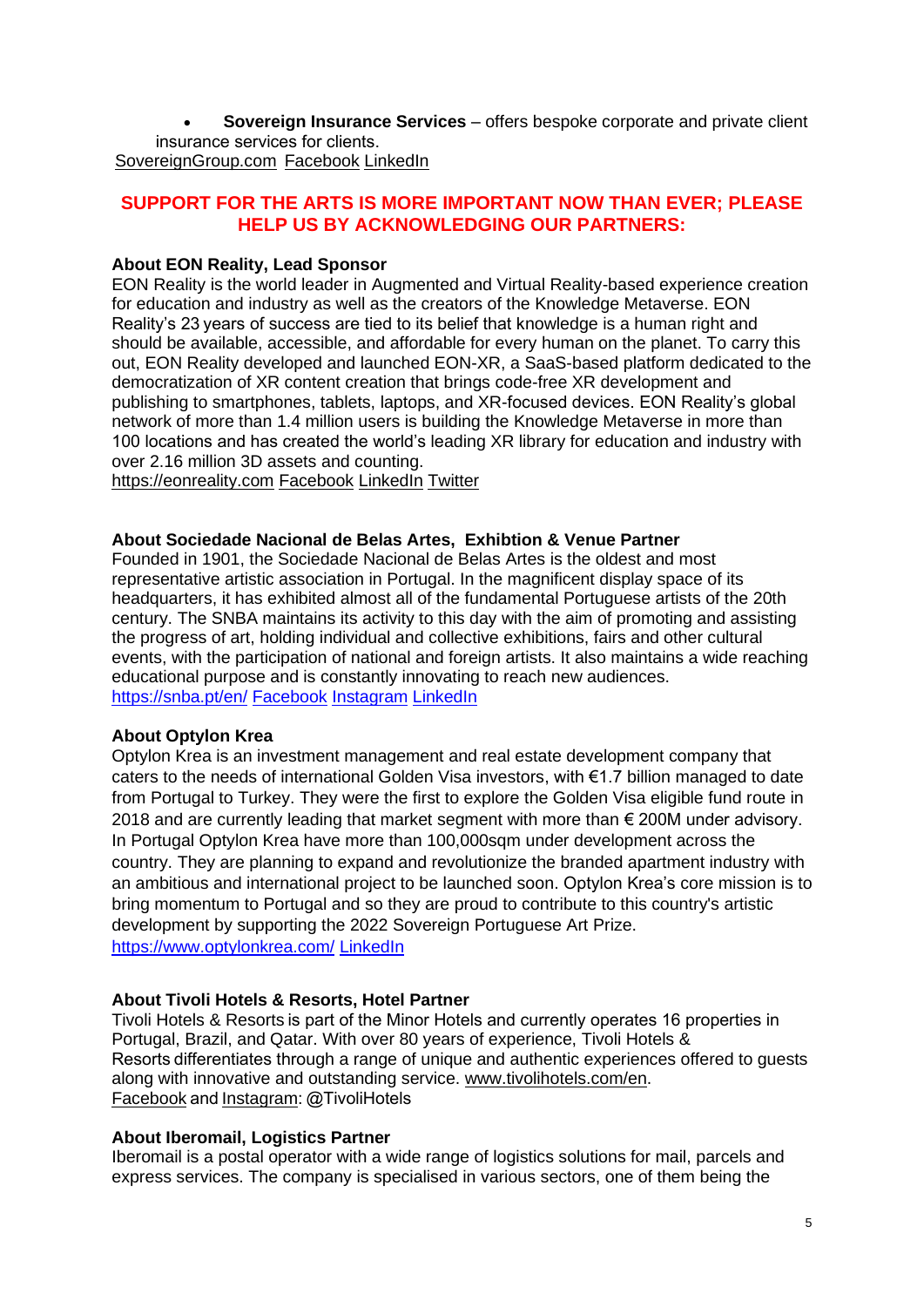• **Sovereign Insurance Services** – offers bespoke corporate and private client insurance services for clients.   [SovereignGroup.com](http://www.sovereigngroup.com/) [Facebook](https://www.facebook.com/thesovereigngroup) [LinkedIn](https://www.linkedin.com/company/the-sovereign-group/)

# **SUPPORT FOR THE ARTS IS MORE IMPORTANT NOW THAN EVER; PLEASE HELP US BY ACKNOWLEDGING OUR PARTNERS:**

### **About EON Reality, Lead Sponsor**

EON Reality is the world leader in Augmented and Virtual Reality-based experience creation for education and industry as well as the creators of the Knowledge Metaverse. EON Reality's 23 years of success are tied to its belief that knowledge is a human right and should be available, accessible, and affordable for every human on the planet. To carry this out, EON Reality developed and launched EON-XR, a SaaS-based platform dedicated to the democratization of XR content creation that brings code-free XR development and publishing to smartphones, tablets, laptops, and XR-focused devices. EON Reality's global network of more than 1.4 million users is building the Knowledge Metaverse in more than 100 locations and has created the world's leading XR library for education and industry with over 2.16 million 3D assets and counting.

[https://eonreality.com](https://eonreality.com/) [Facebook](https://www.facebook.com/EONReality/) [LinkedIn](https://www.linkedin.com/company/eon-reality/) [Twitter](https://twitter.com/eonrealityinc)

#### **About Sociedade Nacional de Belas Artes, Exhibtion & Venue Partner**

Founded in 1901, the Sociedade Nacional de Belas Artes is the oldest and most representative artistic association in Portugal. In the magnificent display space of its headquarters, it has exhibited almost all of the fundamental Portuguese artists of the 20th century. The SNBA maintains its activity to this day with the aim of promoting and assisting the progress of art, holding individual and collective exhibitions, fairs and other cultural events, with the participation of national and foreign artists. It also maintains a wide reaching educational purpose and is constantly innovating to reach new audiences. <https://snba.pt/en/> [Facebook](https://www.facebook.com/snba.pt/?ref=br_rs) [Instagram](https://www.instagram.com/snba.pt/) [LinkedIn](https://www.linkedin.com/in/snba-socnacionalbelasartes/)

#### **About Optylon Krea**

Optylon Krea is an investment management and real estate development company that caters to the needs of international Golden Visa investors, with €1.7 billion managed to date from Portugal to Turkey. They were the first to explore the Golden Visa eligible fund route in 2018 and are currently leading that market segment with more than  $\epsilon$  200M under advisory. In Portugal Optylon Krea have more than 100,000sqm under development across the country. They are planning to expand and revolutionize the branded apartment industry with an ambitious and international project to be launched soon. Optylon Krea's core mission is to bring momentum to Portugal and so they are proud to contribute to this country's artistic development by supporting the 2022 Sovereign Portuguese Art Prize. <https://www.optylonkrea.com/> [LinkedIn](https://www.linkedin.com/company/optylon-krea/)

#### **About Tivoli Hotels & Resorts, Hotel Partner**

[Tivoli Hotels & Resorts i](https://www.tivolihotels.com/en)s part of the Minor Hotels and currently operates 16 properties in Portugal, Brazil, and Qatar. With over 80 years of experience, Tivoli Hotels & Resorts differentiates through a range of unique and authentic experiences offered to guests along with innovative and outstanding service. [www.tivolihotels.com/en.](http://www.tivolihotels.com/en) [Facebook a](https://www.facebook.com/tivolihotels)nd[Instagram:](https://www.instagram.com/tivolihotels/) @TivoliHotels

#### **About Iberomail, Logistics Partner**

Iberomail is a postal operator with a wide range of logistics solutions for mail, parcels and express services. The company is specialised in various sectors, one of them being the